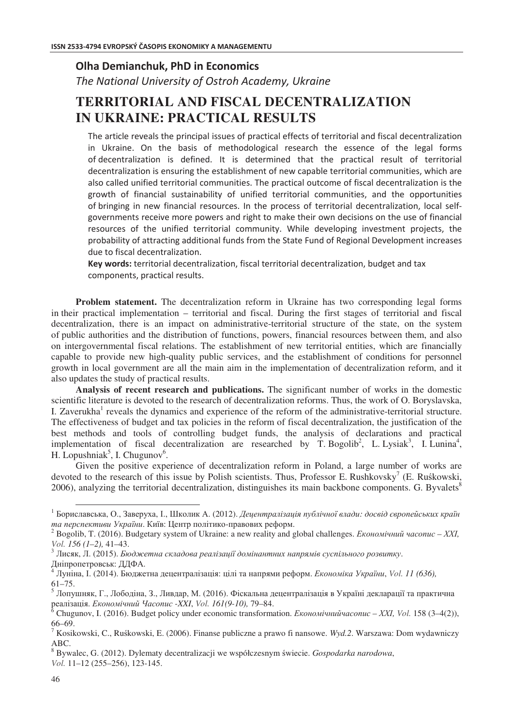## **Olha Demianchuk, PhD in Economics**

The National University of Ostroh Academy, Ukraine

# **TERRITORIAL AND FISCAL DECENTRALIZATION IN UKRAINE: PRACTICAL RESULTS**

The article reveals the principal issues of practical effects of territorial and fiscal decentralization in Ukraine. On the basis of methodological research the essence of the legal forms of decentralization is defined. It is determined that the practical result of territorial decentralization is ensuring the establishment of new capable territorial communities, which are also called unified territorial communities. The practical outcome of fiscal decentralization is the growth of financial sustainability of unified territorial communities, and the opportunities of bringing in new financial resources. In the process of territorial decentralization, local selfgovernments receive more powers and right to make their own decisions on the use of financial resources of the unified territorial community. While developing investment projects, the probability of attracting additional funds from the State Fund of Regional Development increases due to fiscal decentralization.

Key words: territorial decentralization, fiscal territorial decentralization, budget and tax components, practical results.

**Problem statement.** The decentralization reform in Ukraine has two corresponding legal forms in their practical implementation – territorial and fiscal. During the first stages of territorial and fiscal decentralization, there is an impact on administrative-territorial structure of the state, on the system of public authorities and the distribution of functions, powers, financial resources between them, and also on intergovernmental fiscal relations. The establishment of new territorial entities, which are financially capable to provide new high-quality public services, and the establishment of conditions for personnel growth in local government are all the main aim in the implementation of decentralization reform, and it also updates the study of practical results.

**Analysis of recent research and publications.** The significant number of works in the domestic scientific literature is devoted to the research of decentralization reforms. Thus, the work of O. Boryslavska, I. Zaverukha<sup>1</sup> reveals the dynamics and experience of the reform of the administrative-territorial structure. The effectiveness of budget and tax policies in the reform of fiscal decentralization, the justification of the best methods and tools of controlling budget funds, the analysis of declarations and practical implementation of fiscal decentralization are researched by T. Bogolib<sup>2</sup>, L. Lysiak<sup>3</sup>, I. Lunina<sup>4</sup>, H. Lopushniak<sup>5</sup>, I. Chugunov<sup>6</sup>.

Given the positive experience of decentralization reform in Poland, a large number of works are devoted to the research of this issue by Polish scientists. Thus, Professor E. Rushkovsky<sup>7</sup> (E. Ruskowski, 2006), analyzing the territorial decentralization, distinguishes its main backbone components. G. Byvalets<sup>8</sup>

<sup>8</sup> Bywalec, G. (2012). Dylematy decentralizacji we współczesnym świecie. *Gospodarka narodowa*,

 $^1$  Бориславська, О., Заверуха, І., Школик А. (2012). *Децентралізація публічної влади: досвід європейських країн* та перспективи України. Київ: Центр політико-правових реформ.

<sup>2</sup> Bogolib, T. (2016). Budgetary system of Ukraine: a new reality and global challenges. *Eкономічний часопис* – XXI, *Vol. 156 (1–2),* 41–43.

<sup>&</sup>lt;sup>3</sup> Лисяк, Л. (2015). Бюджетна складова реалізації домінантних напрямів суспільного розвитку. Дніпропетровськ: ДДФА.

<sup>&</sup>lt;sup>4</sup> Луніна, І. (2014). Бюджетна децентралізація: цілі та напрями реформ. *Економіка України, Vol. 11 (636)*, 61–75.

 $^5$  Лопушняк, Г., Лободіна, З., Ливдар, М. (2016). Фіскальна децентралізація в Україні декларації та практична реалізація. Економічний Часопис -XXI, Vol. 161(9-10), 79-84.

<sup>6</sup> Chugunov, I. (2016). Budget policy under economic transformation. *Економічний часопис* – XXI, Vol. 158 (3-4(2)), 66–69.

<sup>&</sup>lt;sup>7</sup> Kosikowski, C., Ruśkowski, E. (2006). Finanse publiczne a prawo fi nansowe. *Wyd.2*. Warszawa: Dom wydawniczy ABC.

*Vol.* 11–12 (255–256), 123-145.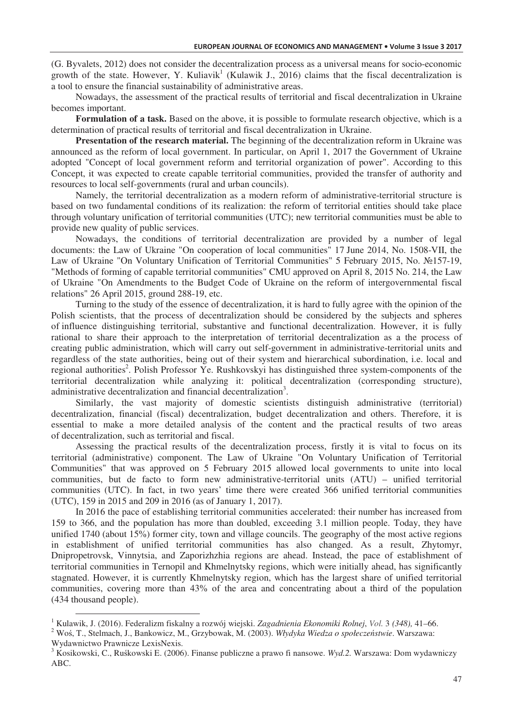(G. Byvalets, 2012) does not consider the decentralization process as a universal means for socio-economic growth of the state. However, Y. Kuliavik<sup>1</sup> (Kulawik J., 2016) claims that the fiscal decentralization is a tool to ensure the financial sustainability of administrative areas.

Nowadays, the assessment of the practical results of territorial and fiscal decentralization in Ukraine becomes important.

**Formulation of a task.** Based on the above, it is possible to formulate research objective, which is a determination of practical results of territorial and fiscal decentralization in Ukraine.

**Presentation of the research material.** The beginning of the decentralization reform in Ukraine was announced as the reform of local government. In particular, on April 1, 2017 the Government of Ukraine adopted "Concept of local government reform and territorial organization of power". According to this Concept, it was expected to create capable territorial communities, provided the transfer of authority and resources to local self-governments (rural and urban councils).

Namely, the territorial decentralization as a modern reform of administrative-territorial structure is based on two fundamental conditions of its realization: the reform of territorial entities should take place through voluntary unification of territorial communities (UTC); new territorial communities must be able to provide new quality of public services.

Nowadays, the conditions of territorial decentralization are provided by a number of legal documents: the Law of Ukraine "On cooperation of local communities" 17 June 2014, No. 1508-VII, the Law of Ukraine "On Voluntary Unification of Territorial Communities" 5 February 2015, No. No157-19, "Methods of forming of capable territorial communities" CMU approved on April 8, 2015 No. 214, the Law of Ukraine "On Amendments to the Budget Code of Ukraine on the reform of intergovernmental fiscal relations" 26 April 2015, ground 288-19, etc.

Turning to the study of the essence of decentralization, it is hard to fully agree with the opinion of the Polish scientists, that the process of decentralization should be considered by the subjects and spheres of influence distinguishing territorial, substantive and functional decentralization. However, it is fully rational to share their approach to the interpretation of territorial decentralization as a the process of creating public administration, which will carry out self-government in administrative-territorial units and regardless of the state authorities, being out of their system and hierarchical subordination, i.e. local and regional authorities<sup>2</sup>. Polish Professor Ye. Rushkovskyi has distinguished three system-components of the territorial decentralization while analyzing it: political decentralization (corresponding structure), administrative decentralization and financial decentralization<sup>3</sup>.

Similarly, the vast majority of domestic scientists distinguish administrative (territorial) decentralization, financial (fiscal) decentralization, budget decentralization and others. Therefore, it is essential to make a more detailed analysis of the content and the practical results of two areas of decentralization, such as territorial and fiscal.

Assessing the practical results of the decentralization process, firstly it is vital to focus on its territorial (administrative) component. The Law of Ukraine "On Voluntary Unification of Territorial Communities" that was approved on 5 February 2015 allowed local governments to unite into local communities, but de facto to form new administrative-territorial units (ATU) – unified territorial communities (UTC). In fact, in two years' time there were created 366 unified territorial communities (UTC), 159 in 2015 and 209 in 2016 (as of January 1, 2017).

In 2016 the pace of establishing territorial communities accelerated: their number has increased from 159 to 366, and the population has more than doubled, exceeding 3.1 million people. Today, they have unified 1740 (about 15%) former city, town and village councils. The geography of the most active regions in establishment of unified territorial communities has also changed. As a result, Zhytomyr, Dnipropetrovsk, Vinnytsia, and Zaporizhzhia regions are ahead. Instead, the pace of establishment of territorial communities in Ternopil and Khmelnytsky regions, which were initially ahead, has significantly stagnated. However, it is currently Khmelnytsky region, which has the largest share of unified territorial communities, covering more than 43% of the area and concentrating about a third of the population (434 thousand people).

 1 Kulawik, J. (2016). Federalizm fiskalny a rozwój wiejski. *Zagadnienia Ekonomiki Rolnej*, *Vol.* 3 *(348),* 41–66.

<sup>&</sup>lt;sup>2</sup> Woś, T., Stelmach, J., Bankowicz, M., Grzybowak, M. (2003). *Włydyka Wiedza o społeczeństwie*. Warszawa: Wydawnictwo Prawnicze LexisNexis.

<sup>&</sup>lt;sup>3</sup> Kosikowski, C., Ruśkowski E. (2006). Finanse publiczne a prawo fi nansowe. *Wyd.2*. Warszawa: Dom wydawniczy ABC.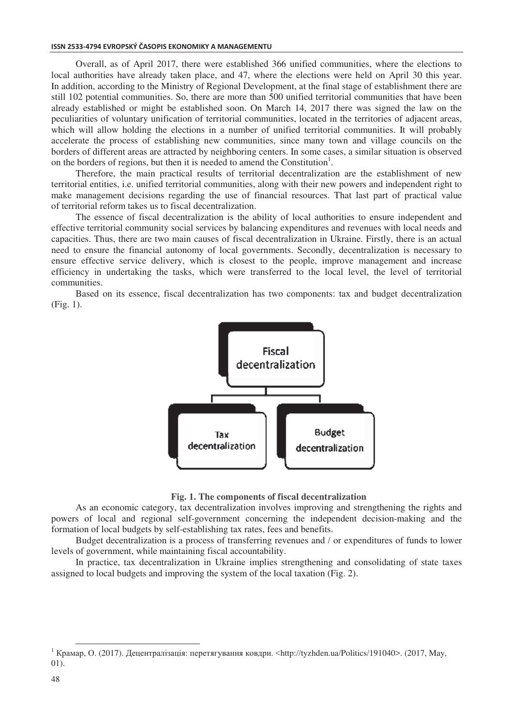#### ISSN 2533-4794 EVROPSKÝ ČASOPIS EKONOMIKY A MANAGEMENTU

Overall, as of April 2017, there were established 366 unified communities, where the elections to local authorities have already taken place, and 47, where the elections were held on April 30 this year. In addition, according to the Ministry of Regional Development, at the final stage of establishment there are still 102 potential communities. So, there are more than 500 unified territorial communities that have been already established or might be established soon. On March 14, 2017 there was signed the law on the peculiarities of voluntary unification of territorial communities, located in the territories of adjacent areas, which will allow holding the elections in a number of unified territorial communities. It will probably accelerate the process of establishing new communities, since many town and village councils on the borders of different areas are attracted by neighboring centers. In some cases, a similar situation is observed on the borders of regions, but then it is needed to amend the Constitution<sup>1</sup>.

Therefore, the main practical results of territorial decentralization are the establishment of new territorial entities, i.e. unified territorial communities, along with their new powers and independent right to make management decisions regarding the use of financial resources. That last part of practical value of territorial reform takes us to fiscal decentralization.

The essence of fiscal decentralization is the ability of local authorities to ensure independent and effective territorial community social services by balancing expenditures and revenues with local needs and capacities. Thus, there are two main causes of fiscal decentralization in Ukraine. Firstly, there is an actual need to ensure the financial autonomy of local governments. Secondly, decentralization is necessary to ensure effective service delivery, which is closest to the people, improve management and increase efficiency in undertaking the tasks, which were transferred to the local level, the level of territorial communities.

Based on its essence, fiscal decentralization has two components: tax and budget decentralization (Fig. 1).



**Fig. 1. The components of fiscal decentralization** 

As an economic category, tax decentralization involves improving and strengthening the rights and powers of local and regional self-government concerning the independent decision-making and the formation of local budgets by self-establishing tax rates, fees and benefits.

Budget decentralization is a process of transferring revenues and / or expenditures of funds to lower levels of government, while maintaining fiscal accountability.

In practice, tax decentralization in Ukraine implies strengthening and consolidating of state taxes assigned to local budgets and improving the system of the local taxation (Fig. 2).

 $^1$  Крамар, О. (2017). Децентралізація: перетягування ковдри. <http://tyzhden.ua/Politics/191040>. (2017, May, 01).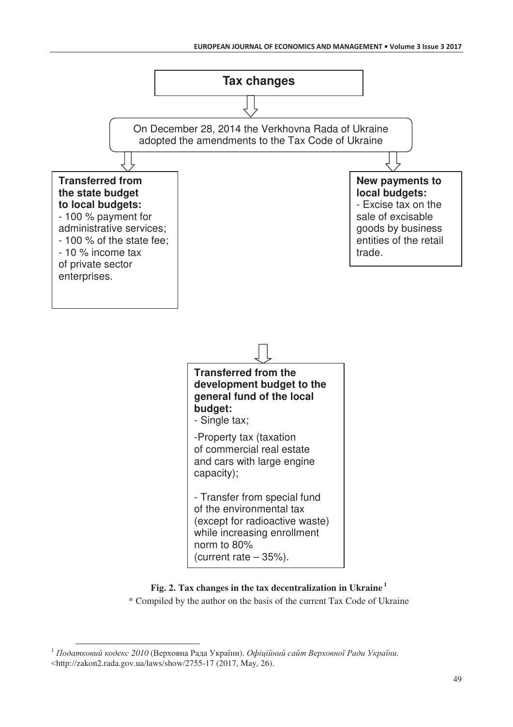

### **Fig. 2. Tax changes in the tax decentralization in Ukraine<sup>1</sup>**

\* Compiled by the author on the basis of the current Tax Code of Ukraine

 $^1$  Податковий кодекс 2010 (Верховна Рада України). Офіційний сайт Верховної Ради України. <http://zakon2.rada.gov.ua/laws/show/2755-17 (2017, May, 26).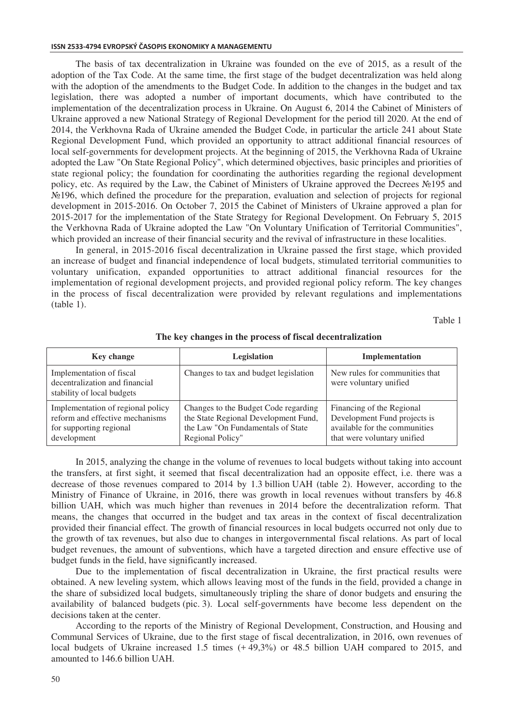#### ISSN 2533-4794 EVROPSKÝ ČASOPIS EKONOMIKY A MANAGEMENTU

The basis of tax decentralization in Ukraine was founded on the eve of 2015, as a result of the adoption of the Tax Code. At the same time, the first stage of the budget decentralization was held along with the adoption of the amendments to the Budget Code. In addition to the changes in the budget and tax legislation, there was adopted a number of important documents, which have contributed to the implementation of the decentralization process in Ukraine. On August 6, 2014 the Cabinet of Ministers of Ukraine approved a new National Strategy of Regional Development for the period till 2020. At the end of 2014, the Verkhovna Rada of Ukraine amended the Budget Code, in particular the article 241 about State Regional Development Fund, which provided an opportunity to attract additional financial resources of local self-governments for development projects. At the beginning of 2015, the Verkhovna Rada of Ukraine adopted the Law "On State Regional Policy", which determined objectives, basic principles and priorities of state regional policy; the foundation for coordinating the authorities regarding the regional development policy, etc. As required by the Law, the Cabinet of Ministers of Ukraine approved the Decrees  $\mathbb{N} \geq 195$  and  $N<sub>2</sub>196$ , which defined the procedure for the preparation, evaluation and selection of projects for regional development in 2015-2016. On October 7, 2015 the Cabinet of Ministers of Ukraine approved a plan for 2015-2017 for the implementation of the State Strategy for Regional Development. On February 5, 2015 the Verkhovna Rada of Ukraine adopted the Law "On Voluntary Unification of Territorial Communities", which provided an increase of their financial security and the revival of infrastructure in these localities.

In general, in 2015-2016 fiscal decentralization in Ukraine passed the first stage, which provided an increase of budget and financial independence of local budgets, stimulated territorial communities to voluntary unification, expanded opportunities to attract additional financial resources for the implementation of regional development projects, and provided regional policy reform. The key changes in the process of fiscal decentralization were provided by relevant regulations and implementations (table 1).

Table 1

| <b>Key change</b>                                                                                              | Legislation                                                                                                                           | Implementation                                                                                                            |  |  |  |  |  |
|----------------------------------------------------------------------------------------------------------------|---------------------------------------------------------------------------------------------------------------------------------------|---------------------------------------------------------------------------------------------------------------------------|--|--|--|--|--|
| Implementation of fiscal<br>decentralization and financial<br>stability of local budgets                       | Changes to tax and budget legislation                                                                                                 | New rules for communities that<br>were voluntary unified                                                                  |  |  |  |  |  |
| Implementation of regional policy<br>reform and effective mechanisms<br>for supporting regional<br>development | Changes to the Budget Code regarding<br>the State Regional Development Fund,<br>the Law "On Fundamentals of State<br>Regional Policy" | Financing of the Regional<br>Development Fund projects is<br>available for the communities<br>that were voluntary unified |  |  |  |  |  |

**The key changes in the process of fiscal decentralization** 

In 2015, analyzing the change in the volume of revenues to local budgets without taking into account the transfers, at first sight, it seemed that fiscal decentralization had an opposite effect, i.e. there was a decrease of those revenues compared to 2014 by 1.3 billion UAH (table 2). However, according to the Ministry of Finance of Ukraine, in 2016, there was growth in local revenues without transfers by 46.8 billion UAH, which was much higher than revenues in 2014 before the decentralization reform. That means, the changes that occurred in the budget and tax areas in the context of fiscal decentralization provided their financial effect. The growth of financial resources in local budgets occurred not only due to the growth of tax revenues, but also due to changes in intergovernmental fiscal relations. As part of local budget revenues, the amount of subventions, which have a targeted direction and ensure effective use of budget funds in the field, have significantly increased.

Due to the implementation of fiscal decentralization in Ukraine, the first practical results were obtained. A new leveling system, which allows leaving most of the funds in the field, provided a change in the share of subsidized local budgets, simultaneously tripling the share of donor budgets and ensuring the availability of balanced budgets (pic. 3). Local self-governments have become less dependent on the decisions taken at the center.

According to the reports of the Ministry of Regional Development, Construction, and Housing and Communal Services of Ukraine, due to the first stage of fiscal decentralization, in 2016, own revenues of local budgets of Ukraine increased 1.5 times (+ 49,3%) or 48.5 billion UAH compared to 2015, and amounted to 146.6 billion UAH.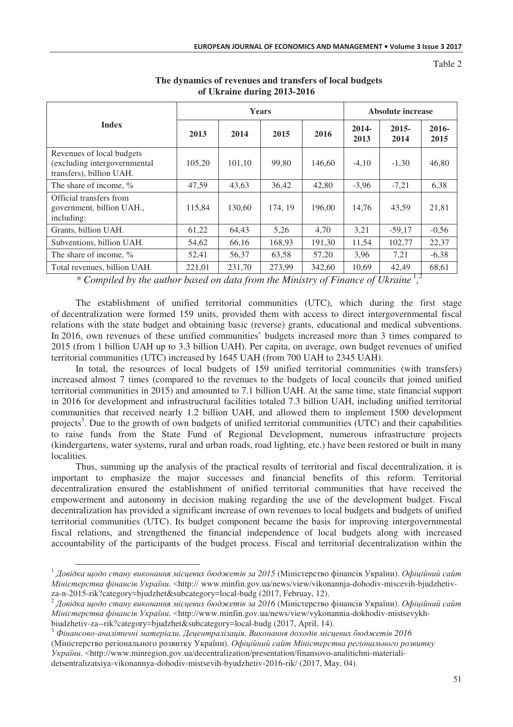Table 2

| <b>Index</b>                                                                          | Years  |        |                                                      | Absolute increase              |                  |                       |                  |
|---------------------------------------------------------------------------------------|--------|--------|------------------------------------------------------|--------------------------------|------------------|-----------------------|------------------|
|                                                                                       | 2013   | 2014   | 2015                                                 | 2016                           | $2014 -$<br>2013 | $2015 -$<br>2014      | $2016 -$<br>2015 |
| Revenues of local budgets<br>(excluding intergovernmental<br>transfers), billion UAH. | 105,20 | 101,10 | 99,80                                                | 146.60                         | $-4,10$          | $-1,30$               | 46,80            |
| The share of income, %                                                                | 47,59  | 43,63  | 36,42                                                | 42,80                          | $-3,96$          | $-7,21$               | 6,38             |
| Official transfers from<br>government, billion UAH.,<br>including:                    | 115,84 | 130,60 | 174, 19                                              | 196,00                         | 14,76            | 43,59                 | 21,81            |
| Grants, billion UAH.                                                                  | 61,22  | 64,43  | 5,26                                                 | 4,70                           | 3,21             | $-59,17$              | $-0,56$          |
| Subventions, billion UAH.                                                             | 54,62  | 66,16  | 168,93                                               | 191,30                         | 11,54            | 102,77                | 22,37            |
| The share of income, %                                                                | 52,41  | 56,37  | 63,58                                                | 57,20                          | 3,96             | 7,21                  | $-6,38$          |
| Total revenues, billion UAH.<br>$\mathbf{r}$                                          | 221,01 | 231,70 | 273,99<br>$\mathbf{v}$ , $\mathbf{v}$ , $\mathbf{v}$ | 342,60<br>$\sim$ $\sim$ $\sim$ | 10,69            | 42,49<br>$A \times T$ | 68,61            |

## **The dynamics of revenues and transfers of local budgets of Ukraine during 2013-2016**

\* Compiled by the author based on data from the Ministry of Finance of Ukraine<sup>1</sup>,<sup>2</sup>

The establishment of unified territorial communities (UTC), which during the first stage of decentralization were formed 159 units, provided them with access to direct intergovernmental fiscal relations with the state budget and obtaining basic (reverse) grants, educational and medical subventions. In 2016, own revenues of these unified communities' budgets increased more than 3 times compared to 2015 (from 1 billion UAH up to 3.3 billion UAH). Per capita, on average, own budget revenues of unified territorial communities (UTC) increased by 1645 UAH (from 700 UAH to 2345 UAH).

In total, the resources of local budgets of 159 unified territorial communities (with transfers) increased almost 7 times (compared to the revenues to the budgets of local councils that joined unified territorial communities in 2015) and amounted to 7.1 billion UAH. At the same time, state financial support in 2016 for development and infrastructural facilities totaled 7.3 billion UAH, including unified territorial communities that received nearly 1.2 billion UAH, and allowed them to implement 1500 development projects<sup>3</sup>. Due to the growth of own budgets of unified territorial communities (UTC) and their capabilities to raise funds from the State Fund of Regional Development, numerous infrastructure projects (kindergartens, water systems, rural and urban roads, road lighting, etc.) have been restored or built in many localities.

Thus, summing up the analysis of the practical results of territorial and fiscal decentralization, it is important to emphasize the major successes and financial benefits of this reform. Territorial decentralization ensured the establishment of unified territorial communities that have received the empowerment and autonomy in decision making regarding the use of the development budget. Fiscal decentralization has provided a significant increase of own revenues to local budgets and budgets of unified territorial communities (UTC). Its budget component became the basis for improving intergovernmental fiscal relations, and strengthened the financial independence of local budgets along with increased accountability of the participants of the budget process. Fiscal and territorial decentralization within the

 $^3$  Фінансово-аналітичні матеріали. Децентралізація. Виконання доходів місцевих бюджетів 2016

(Міністерство регіонального розвитку України). Офіційний сайт Міністерства регіонального розвитку

*8(.* <http://www.minregion.gov.ua/decentralization/presentation/finansovo-analitichni-materiali-

detsentralizatsiya-vikonannya-dohodiv-mistsevih-byudzhetiv-2016-rik/ (2017, May, 04).

 $^1$ Довідка щодо стану виконання місцевих бюджетів за 2015 (Міністерство фінансів України). *Офіційний сайт Miнicmepcmва фінансів України*. <http:// www.minfin.gov.ua/news/view/vikonannja-dohodiv-miscevih-bjudzhetivza-n-2015-rik?category=bjudzhet&subcategory=local-budg (2017, Februay, 12).

 $^2$  Довідка щодо стану виконання місцевих бюджетів за 2016 (Міністерство фінансів України). *Офіційний сайт Miнicmepcmва фінансів України*. <http://www.minfin.gov.ua/news/view/vykonannia-dokhodiv-mistsevykhbiudzhetiv-za--rik?category=bjudzhet&subcategory=local-budg (2017, April, 14).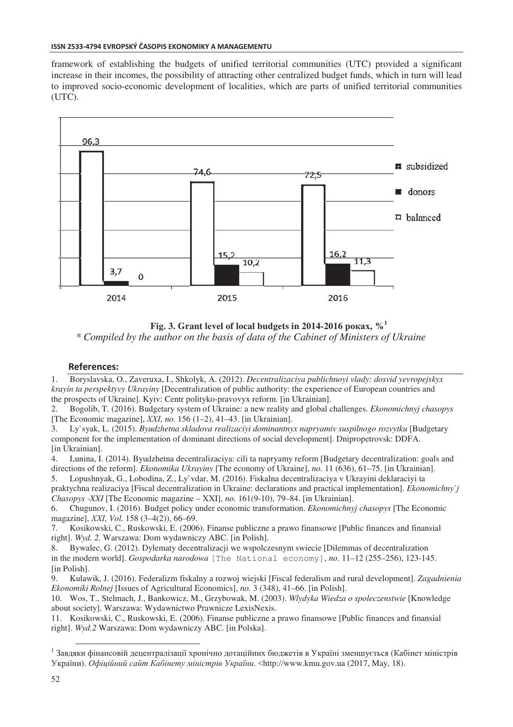framework of establishing the budgets of unified territorial communities (UTC) provided a significant increase in their incomes, the possibility of attracting other centralized budget funds, which in turn will lead to improved socio-economic development of localities, which are parts of unified territorial communities (UTC).



**Fig. 3.** Grant level of local budgets in 2014-2016 pokax,  $\%^1$ *\* Compiled by the author on the basis of data of the Cabinet of Ministers of Ukraine* 

#### $References:$

1. Boryslavska, O., Zaveruxa, I., Shkolyk, A. (2012). *Decentralizaciya publichnoyi vlady: dosvid yevropejskyx krayin ta perspektyvy Ukrayiny* [Decentralization of public authority: the experience of European countries and the prospects of Ukraine]. Kyiv: Centr polityko-pravovyx reform. [in Ukrainian].

2. Bogolib, T. (2016). Budgetary system of Ukraine: a new reality and global challenges. *Ekonomichnyj chasopys*  [The Economic magazine],  $XXI$ , no. 156 (1–2), 41–43. [in Ukrainian].

3. Ly`syak, L. (2015). *Byudzhetna skladova realizaciyi dominantnyx napryamiv suspilnogo rozvytku* [Budgetary component for the implementation of dominant directions of social development]. Dnipropetrovsk: DDFA. [in Ukrainian].

4. Lunina, I. (2014). Byudzhetna decentralizaciya: cili ta napryamy reform [Budgetary decentralization: goals and directions of the reform]. *Ekonomika Ukrayiny* [The economy of Ukraine], *no.* 11 (636), 61–75. [in Ukrainian].

5. Lopushnyak, G., Lobodina, Z., Ly`vdar, M. (2016). Fiskalna decentralizaciya v Ukrayini deklaraciyi ta praktychna realizaciya [Fiscal decentralization in Ukraine: declarations and practical implementation]. *Ekonomichny`j Chasopys -XXI* [The Economic magazine – XXI], *no.* 161(9-10), 79–84. [in Ukrainian].

6. Chugunov, I. (2016). Budget policy under economic transformation. *Ekonomichnyj chasopys* [The Economic magazine], *XXI*, *Vol.* 158 (3–4(2)), 66–69.

7. Kosikowski, C., Ruskowski, E. (2006). Finanse publiczne a prawo finansowe [Public finances and finansial right]. *Wyd. 2.* Warszawa: Dom wydawniczy ABC. [in Polish].

8. Bywalec, G. (2012). Dylematy decentralizacji we wspolczesnym swiecie [Dilemmas of decentralization in the modern world]. *Gospodarka narodowa* [The National economy], *no.* 11–12 (255–256), 123-145. [in Polish].

9. Kulawik, J. (2016). Federalizm fiskalny a rozwoj wiejski [Fiscal federalism and rural development]. *Zagadnienia Ekonomiki Rolnej* [Issues of Agricultural Economics], *no.* 3 (348), 41–66. [in Polish].

10. Wos, T., Stelmach, J., Bankowicz, M., Grzybowak, M. (2003). *Wlydyka Wiedza o spoleczenstwie* [Knowledge about society]. Warszawa: Wydawnictwo Prawnicze LexisNexis.

11. Kosikowski, C., Ruskowski, E. (2006). Finanse publiczne a prawo finansowe [Public finances and finansial right]. *Wyd.2* Warszawa: Dom wydawniczy ABC. [in Polska].

 $^{\text{1}}$ Завдяки фінансовій децентралізації хронічно дотаційних бюджетів в Україні зменшується (Кабінет міністрів України). Офіційний сайт Кабінету міністрів України. <http://www.kmu.gov.ua (2017, May, 18).